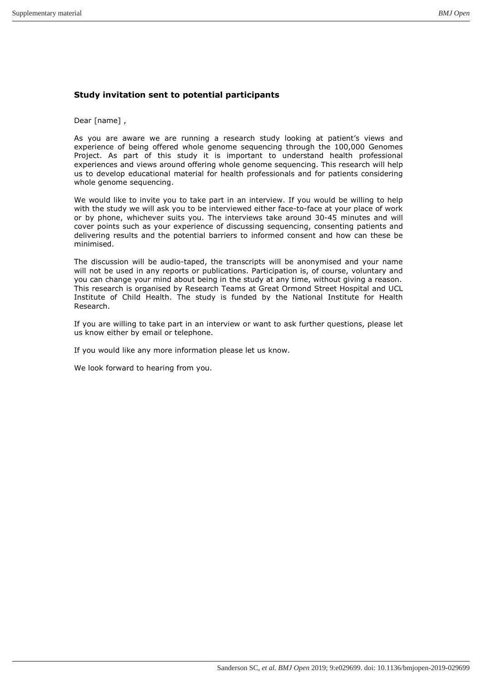# Study invitation sent to potential participants

Dear [name] ,

As you are aware we are running a research study looking at patient's views and experience of being offered whole genome sequencing through the 100,000 Genomes Project. As part of this study it is important to understand health professional experiences and views around offering whole genome sequencing. This research will help us to develop educational material for health professionals and for patients considering whole genome sequencing.

We would like to invite you to take part in an interview. If you would be willing to help with the study we will ask you to be interviewed either face-to-face at your place of work or by phone, whichever suits you. The interviews take around 30-45 minutes and will cover points such as your experience of discussing sequencing, consenting patients and delivering results and the potential barriers to informed consent and how can these be minimised.

The discussion will be audio-taped, the transcripts will be anonymised and your name will not be used in any reports or publications. Participation is, of course, voluntary and you can change your mind about being in the study at any time, without giving a reason. This research is organised by Research Teams at Great Ormond Street Hospital and UCL Institute of Child Health. The study is funded by the National Institute for Health Research.

If you are willing to take part in an interview or want to ask further questions, please let us know either by email or telephone.

If you would like any more information please let us know.

We look forward to hearing from you.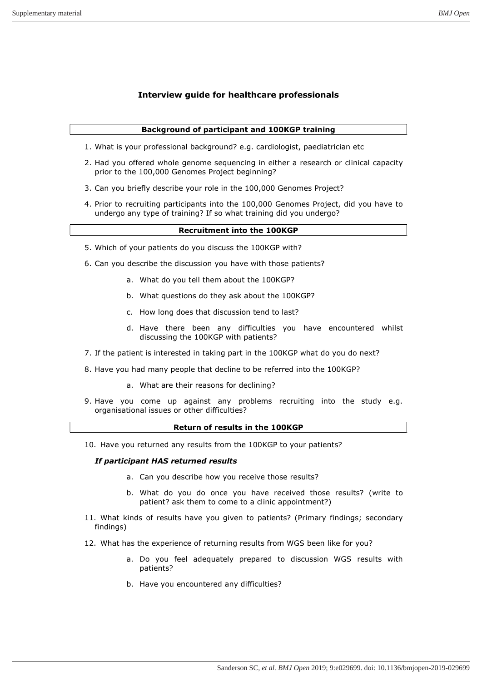# Interview guide for healthcare professionals

# Background of participant and 100KGP training

- 1. What is your professional background? e.g. cardiologist, paediatrician etc
- 2. Had you offered whole genome sequencing in either a research or clinical capacity prior to the 100,000 Genomes Project beginning?
- 3. Can you briefly describe your role in the 100,000 Genomes Project?
- 4. Prior to recruiting participants into the 100,000 Genomes Project, did you have to undergo any type of training? If so what training did you undergo?

# Recruitment into the 100KGP

- 5. Which of your patients do you discuss the 100KGP with?
- 6. Can you describe the discussion you have with those patients?
	- a. What do you tell them about the 100KGP?
	- b. What questions do they ask about the 100KGP?
	- c. How long does that discussion tend to last?
	- d. Have there been any difficulties you have encountered whilst discussing the 100KGP with patients?
- 7. If the patient is interested in taking part in the 100KGP what do you do next?
- 8. Have you had many people that decline to be referred into the 100KGP?
	- a. What are their reasons for declining?
- 9. Have you come up against any problems recruiting into the study e.g. organisational issues or other difficulties?

# Return of results in the 100KGP

10. Have you returned any results from the 100KGP to your patients?

#### If participant HAS returned results

- a. Can you describe how you receive those results?
- b. What do you do once you have received those results? (write to patient? ask them to come to a clinic appointment?)
- 11. What kinds of results have you given to patients? (Primary findings; secondary findings)
- 12. What has the experience of returning results from WGS been like for you?
	- a. Do you feel adequately prepared to discussion WGS results with patients?
	- b. Have you encountered any difficulties?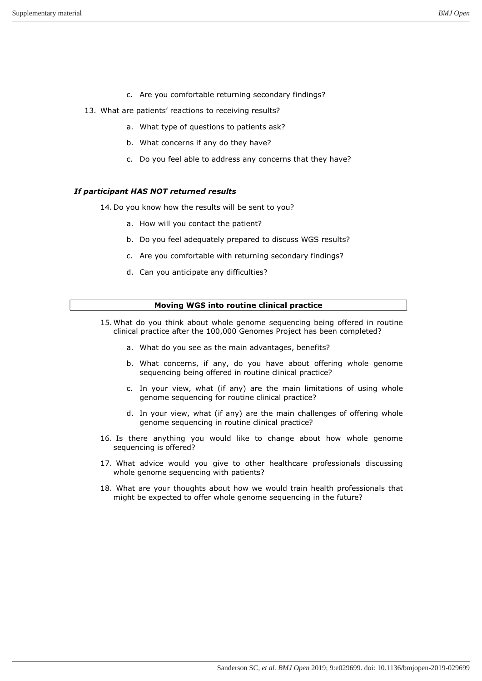- c. Are you comfortable returning secondary findings?
- 13. What are patients' reactions to receiving results?
	- a. What type of questions to patients ask?
	- b. What concerns if any do they have?
	- c. Do you feel able to address any concerns that they have?

# If participant HAS NOT returned results

- 14. Do you know how the results will be sent to you?
	- a. How will you contact the patient?
	- b. Do you feel adequately prepared to discuss WGS results?
	- c. Are you comfortable with returning secondary findings?
	- d. Can you anticipate any difficulties?

# Moving WGS into routine clinical practice

- 15. What do you think about whole genome sequencing being offered in routine clinical practice after the 100,000 Genomes Project has been completed?
	- a. What do you see as the main advantages, benefits?
	- b. What concerns, if any, do you have about offering whole genome sequencing being offered in routine clinical practice?
	- c. In your view, what (if any) are the main limitations of using whole genome sequencing for routine clinical practice?
	- d. In your view, what (if any) are the main challenges of offering whole genome sequencing in routine clinical practice?
- 16. Is there anything you would like to change about how whole genome sequencing is offered?
- 17. What advice would you give to other healthcare professionals discussing whole genome sequencing with patients?
- 18. What are your thoughts about how we would train health professionals that might be expected to offer whole genome sequencing in the future?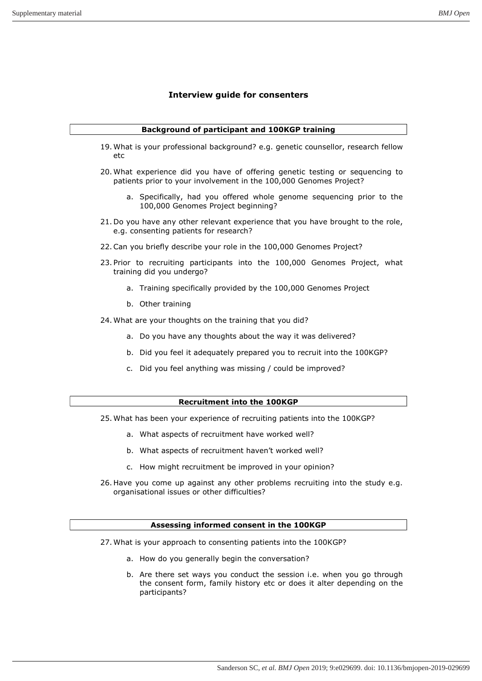# Interview guide for consenters

# Background of participant and 100KGP training

- 19. What is your professional background? e.g. genetic counsellor, research fellow etc
- 20. What experience did you have of offering genetic testing or sequencing to patients prior to your involvement in the 100,000 Genomes Project?
	- a. Specifically, had you offered whole genome sequencing prior to the 100,000 Genomes Project beginning?
- 21. Do you have any other relevant experience that you have brought to the role, e.g. consenting patients for research?
- 22.Can you briefly describe your role in the 100,000 Genomes Project?
- 23. Prior to recruiting participants into the 100,000 Genomes Project, what training did you undergo?
	- a. Training specifically provided by the 100,000 Genomes Project
	- b. Other training
- 24. What are your thoughts on the training that you did?
	- a. Do you have any thoughts about the way it was delivered?
	- b. Did you feel it adequately prepared you to recruit into the 100KGP?
	- c. Did you feel anything was missing / could be improved?

### Recruitment into the 100KGP

- 25. What has been your experience of recruiting patients into the 100KGP?
	- a. What aspects of recruitment have worked well?
	- b. What aspects of recruitment haven't worked well?
	- c. How might recruitment be improved in your opinion?
- 26. Have you come up against any other problems recruiting into the study e.g. organisational issues or other difficulties?

### Assessing informed consent in the 100KGP

- 27. What is your approach to consenting patients into the 100KGP?
	- a. How do you generally begin the conversation?
	- b. Are there set ways you conduct the session i.e. when you go through the consent form, family history etc or does it alter depending on the participants?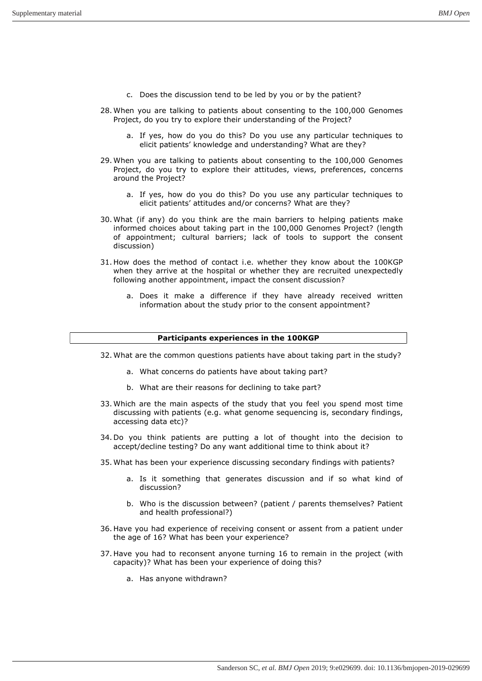- c. Does the discussion tend to be led by you or by the patient?
- 28. When you are talking to patients about consenting to the 100,000 Genomes Project, do you try to explore their understanding of the Project?
	- a. If yes, how do you do this? Do you use any particular techniques to elicit patients' knowledge and understanding? What are they?
- 29. When you are talking to patients about consenting to the 100,000 Genomes Project, do you try to explore their attitudes, views, preferences, concerns around the Project?
	- a. If yes, how do you do this? Do you use any particular techniques to elicit patients' attitudes and/or concerns? What are they?
- 30. What (if any) do you think are the main barriers to helping patients make informed choices about taking part in the 100,000 Genomes Project? (length of appointment; cultural barriers; lack of tools to support the consent discussion)
- 31. How does the method of contact i.e. whether they know about the 100KGP when they arrive at the hospital or whether they are recruited unexpectedly following another appointment, impact the consent discussion?
	- a. Does it make a difference if they have already received written information about the study prior to the consent appointment?

### Participants experiences in the 100KGP

- 32. What are the common questions patients have about taking part in the study?
	- a. What concerns do patients have about taking part?
	- b. What are their reasons for declining to take part?
- 33. Which are the main aspects of the study that you feel you spend most time discussing with patients (e.g. what genome sequencing is, secondary findings, accessing data etc)?
- 34. Do you think patients are putting a lot of thought into the decision to accept/decline testing? Do any want additional time to think about it?
- 35. What has been your experience discussing secondary findings with patients?
	- a. Is it something that generates discussion and if so what kind of discussion?
	- b. Who is the discussion between? (patient / parents themselves? Patient and health professional?)
- 36. Have you had experience of receiving consent or assent from a patient under the age of 16? What has been your experience?
- 37. Have you had to reconsent anyone turning 16 to remain in the project (with capacity)? What has been your experience of doing this?
	- a. Has anyone withdrawn?